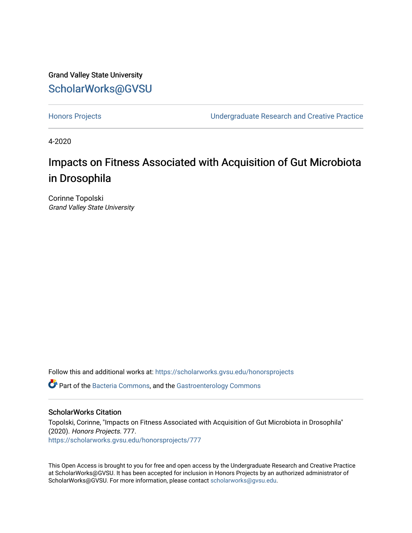Grand Valley State University [ScholarWorks@GVSU](https://scholarworks.gvsu.edu/) 

[Honors Projects](https://scholarworks.gvsu.edu/honorsprojects) [Undergraduate Research and Creative Practice](https://scholarworks.gvsu.edu/urcp) 

4-2020

# Impacts on Fitness Associated with Acquisition of Gut Microbiota in Drosophila

Corinne Topolski Grand Valley State University

Follow this and additional works at: [https://scholarworks.gvsu.edu/honorsprojects](https://scholarworks.gvsu.edu/honorsprojects?utm_source=scholarworks.gvsu.edu%2Fhonorsprojects%2F777&utm_medium=PDF&utm_campaign=PDFCoverPages) 

**C** Part of the [Bacteria Commons,](http://network.bepress.com/hgg/discipline/985?utm_source=scholarworks.gvsu.edu%2Fhonorsprojects%2F777&utm_medium=PDF&utm_campaign=PDFCoverPages) and the Gastroenterology Commons

## ScholarWorks Citation

Topolski, Corinne, "Impacts on Fitness Associated with Acquisition of Gut Microbiota in Drosophila" (2020). Honors Projects. 777. [https://scholarworks.gvsu.edu/honorsprojects/777](https://scholarworks.gvsu.edu/honorsprojects/777?utm_source=scholarworks.gvsu.edu%2Fhonorsprojects%2F777&utm_medium=PDF&utm_campaign=PDFCoverPages) 

This Open Access is brought to you for free and open access by the Undergraduate Research and Creative Practice at ScholarWorks@GVSU. It has been accepted for inclusion in Honors Projects by an authorized administrator of ScholarWorks@GVSU. For more information, please contact [scholarworks@gvsu.edu](mailto:scholarworks@gvsu.edu).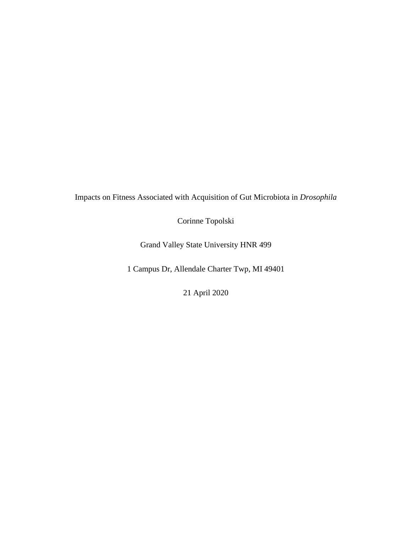Impacts on Fitness Associated with Acquisition of Gut Microbiota in *Drosophila*

Corinne Topolski

Grand Valley State University HNR 499

1 Campus Dr, Allendale Charter Twp, MI 49401

21 April 2020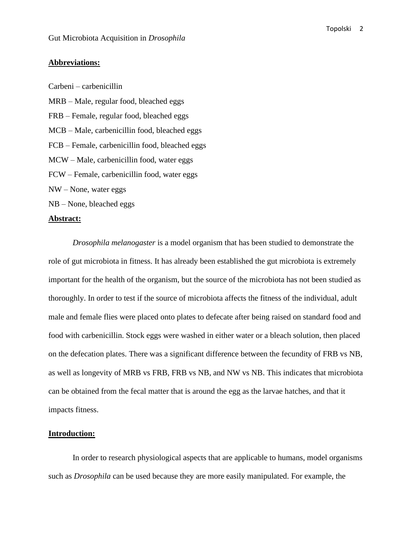## **Abbreviations:**

Carbeni – carbenicillin MRB – Male, regular food, bleached eggs FRB – Female, regular food, bleached eggs MCB – Male, carbenicillin food, bleached eggs FCB – Female, carbenicillin food, bleached eggs MCW – Male, carbenicillin food, water eggs FCW – Female, carbenicillin food, water eggs NW – None, water eggs NB – None, bleached eggs

#### **Abstract:**

*Drosophila melanogaster* is a model organism that has been studied to demonstrate the role of gut microbiota in fitness. It has already been established the gut microbiota is extremely important for the health of the organism, but the source of the microbiota has not been studied as thoroughly. In order to test if the source of microbiota affects the fitness of the individual, adult male and female flies were placed onto plates to defecate after being raised on standard food and food with carbenicillin. Stock eggs were washed in either water or a bleach solution, then placed on the defecation plates. There was a significant difference between the fecundity of FRB vs NB, as well as longevity of MRB vs FRB, FRB vs NB, and NW vs NB. This indicates that microbiota can be obtained from the fecal matter that is around the egg as the larvae hatches, and that it impacts fitness.

# **Introduction:**

In order to research physiological aspects that are applicable to humans, model organisms such as *Drosophila* can be used because they are more easily manipulated. For example, the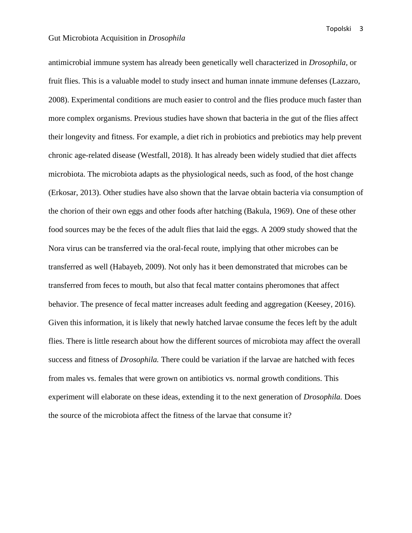fruit flies. This is a valuable model to study insect and human innate immune defenses (Lazzaro, 2008). Experimental conditions are much easier to control and the flies produce much faster than more complex organisms. Previous studies have shown that bacteria in the gut of the flies affect their longevity and fitness. For example, a diet rich in probiotics and prebiotics may help prevent chronic age-related disease (Westfall, 2018). It has already been widely studied that diet affects microbiota. The microbiota adapts as the physiological needs, such as food, of the host change (Erkosar, 2013). Other studies have also shown that the larvae obtain bacteria via consumption of the chorion of their own eggs and other foods after hatching (Bakula, 1969). One of these other food sources may be the feces of the adult flies that laid the eggs. A 2009 study showed that the Nora virus can be transferred via the oral-fecal route, implying that other microbes can be transferred as well (Habayeb, 2009). Not only has it been demonstrated that microbes can be transferred from feces to mouth, but also that fecal matter contains pheromones that affect behavior. The presence of fecal matter increases adult feeding and aggregation (Keesey, 2016). Given this information, it is likely that newly hatched larvae consume the feces left by the adult flies. There is little research about how the different sources of microbiota may affect the overall success and fitness of *Drosophila.* There could be variation if the larvae are hatched with feces from males vs. females that were grown on antibiotics vs. normal growth conditions. This experiment will elaborate on these ideas, extending it to the next generation of *Drosophila.* Does the source of the microbiota affect the fitness of the larvae that consume it?

antimicrobial immune system has already been genetically well characterized in *Drosophila,* or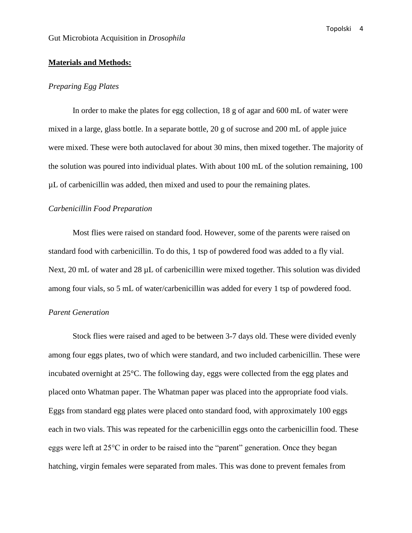## **Materials and Methods:**

#### *Preparing Egg Plates*

In order to make the plates for egg collection, 18 g of agar and 600 mL of water were mixed in a large, glass bottle. In a separate bottle, 20 g of sucrose and 200 mL of apple juice were mixed. These were both autoclaved for about 30 mins, then mixed together. The majority of the solution was poured into individual plates. With about 100 mL of the solution remaining, 100 µL of carbenicillin was added, then mixed and used to pour the remaining plates.

#### *Carbenicillin Food Preparation*

Most flies were raised on standard food. However, some of the parents were raised on standard food with carbenicillin. To do this, 1 tsp of powdered food was added to a fly vial. Next, 20 mL of water and 28  $\mu$ L of carbenicillin were mixed together. This solution was divided among four vials, so 5 mL of water/carbenicillin was added for every 1 tsp of powdered food.

## *Parent Generation*

Stock flies were raised and aged to be between 3-7 days old. These were divided evenly among four eggs plates, two of which were standard, and two included carbenicillin. These were incubated overnight at 25°C. The following day, eggs were collected from the egg plates and placed onto Whatman paper. The Whatman paper was placed into the appropriate food vials. Eggs from standard egg plates were placed onto standard food, with approximately 100 eggs each in two vials. This was repeated for the carbenicillin eggs onto the carbenicillin food. These eggs were left at 25°C in order to be raised into the "parent" generation. Once they began hatching, virgin females were separated from males. This was done to prevent females from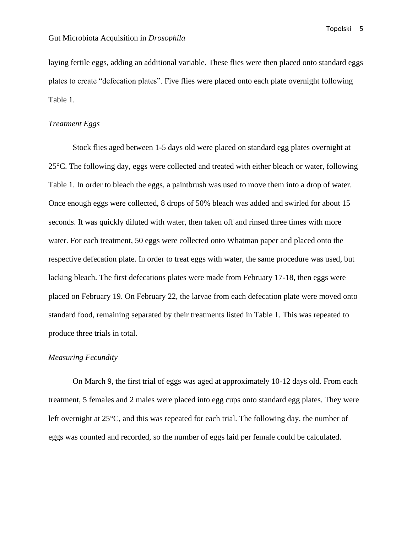laying fertile eggs, adding an additional variable. These flies were then placed onto standard eggs plates to create "defecation plates". Five flies were placed onto each plate overnight following Table 1.

# *Treatment Eggs*

Stock flies aged between 1-5 days old were placed on standard egg plates overnight at 25°C. The following day, eggs were collected and treated with either bleach or water, following Table 1. In order to bleach the eggs, a paintbrush was used to move them into a drop of water. Once enough eggs were collected, 8 drops of 50% bleach was added and swirled for about 15 seconds. It was quickly diluted with water, then taken off and rinsed three times with more water. For each treatment, 50 eggs were collected onto Whatman paper and placed onto the respective defecation plate. In order to treat eggs with water, the same procedure was used, but lacking bleach. The first defecations plates were made from February 17-18, then eggs were placed on February 19. On February 22, the larvae from each defecation plate were moved onto standard food, remaining separated by their treatments listed in Table 1. This was repeated to produce three trials in total.

# *Measuring Fecundity*

On March 9, the first trial of eggs was aged at approximately 10-12 days old. From each treatment, 5 females and 2 males were placed into egg cups onto standard egg plates. They were left overnight at 25°C, and this was repeated for each trial. The following day, the number of eggs was counted and recorded, so the number of eggs laid per female could be calculated.

Topolski 5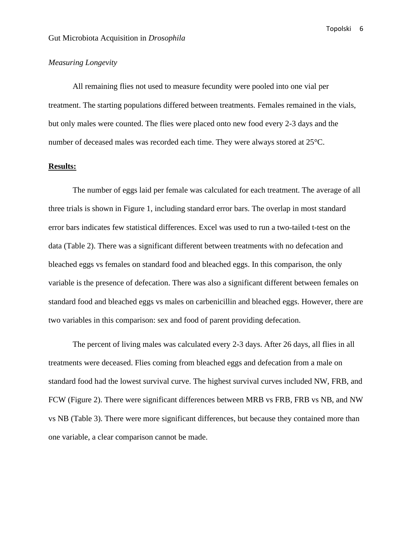# *Measuring Longevity*

All remaining flies not used to measure fecundity were pooled into one vial per treatment. The starting populations differed between treatments. Females remained in the vials, but only males were counted. The flies were placed onto new food every 2-3 days and the number of deceased males was recorded each time. They were always stored at 25°C.

## **Results:**

The number of eggs laid per female was calculated for each treatment. The average of all three trials is shown in Figure 1, including standard error bars. The overlap in most standard error bars indicates few statistical differences. Excel was used to run a two-tailed t-test on the data (Table 2). There was a significant different between treatments with no defecation and bleached eggs vs females on standard food and bleached eggs. In this comparison, the only variable is the presence of defecation. There was also a significant different between females on standard food and bleached eggs vs males on carbenicillin and bleached eggs. However, there are two variables in this comparison: sex and food of parent providing defecation.

The percent of living males was calculated every 2-3 days. After 26 days, all flies in all treatments were deceased. Flies coming from bleached eggs and defecation from a male on standard food had the lowest survival curve. The highest survival curves included NW, FRB, and FCW (Figure 2). There were significant differences between MRB vs FRB, FRB vs NB, and NW vs NB (Table 3). There were more significant differences, but because they contained more than one variable, a clear comparison cannot be made.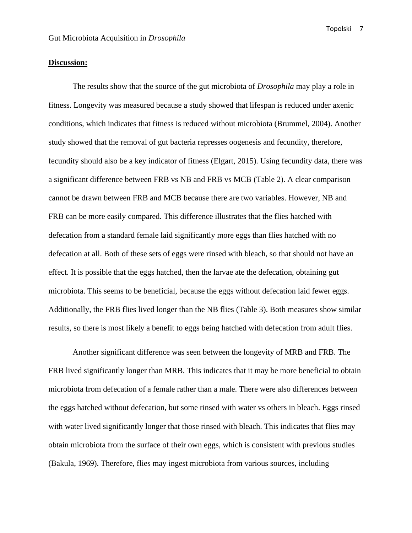## **Discussion:**

The results show that the source of the gut microbiota of *Drosophila* may play a role in fitness. Longevity was measured because a study showed that lifespan is reduced under axenic conditions, which indicates that fitness is reduced without microbiota (Brummel, 2004). Another study showed that the removal of gut bacteria represses oogenesis and fecundity, therefore, fecundity should also be a key indicator of fitness (Elgart, 2015). Using fecundity data, there was a significant difference between FRB vs NB and FRB vs MCB (Table 2). A clear comparison cannot be drawn between FRB and MCB because there are two variables. However, NB and FRB can be more easily compared. This difference illustrates that the flies hatched with defecation from a standard female laid significantly more eggs than flies hatched with no defecation at all. Both of these sets of eggs were rinsed with bleach, so that should not have an effect. It is possible that the eggs hatched, then the larvae ate the defecation, obtaining gut microbiota. This seems to be beneficial, because the eggs without defecation laid fewer eggs. Additionally, the FRB flies lived longer than the NB flies (Table 3). Both measures show similar results, so there is most likely a benefit to eggs being hatched with defecation from adult flies.

Another significant difference was seen between the longevity of MRB and FRB. The FRB lived significantly longer than MRB. This indicates that it may be more beneficial to obtain microbiota from defecation of a female rather than a male. There were also differences between the eggs hatched without defecation, but some rinsed with water vs others in bleach. Eggs rinsed with water lived significantly longer that those rinsed with bleach. This indicates that flies may obtain microbiota from the surface of their own eggs, which is consistent with previous studies (Bakula, 1969). Therefore, flies may ingest microbiota from various sources, including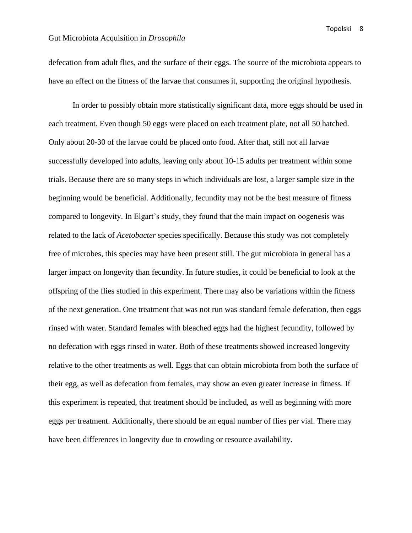defecation from adult flies, and the surface of their eggs. The source of the microbiota appears to have an effect on the fitness of the larvae that consumes it, supporting the original hypothesis.

In order to possibly obtain more statistically significant data, more eggs should be used in each treatment. Even though 50 eggs were placed on each treatment plate, not all 50 hatched. Only about 20-30 of the larvae could be placed onto food. After that, still not all larvae successfully developed into adults, leaving only about 10-15 adults per treatment within some trials. Because there are so many steps in which individuals are lost, a larger sample size in the beginning would be beneficial. Additionally, fecundity may not be the best measure of fitness compared to longevity. In Elgart's study, they found that the main impact on oogenesis was related to the lack of *Acetobacter* species specifically. Because this study was not completely free of microbes, this species may have been present still. The gut microbiota in general has a larger impact on longevity than fecundity. In future studies, it could be beneficial to look at the offspring of the flies studied in this experiment. There may also be variations within the fitness of the next generation. One treatment that was not run was standard female defecation, then eggs rinsed with water. Standard females with bleached eggs had the highest fecundity, followed by no defecation with eggs rinsed in water. Both of these treatments showed increased longevity relative to the other treatments as well. Eggs that can obtain microbiota from both the surface of their egg, as well as defecation from females, may show an even greater increase in fitness. If this experiment is repeated, that treatment should be included, as well as beginning with more eggs per treatment. Additionally, there should be an equal number of flies per vial. There may have been differences in longevity due to crowding or resource availability.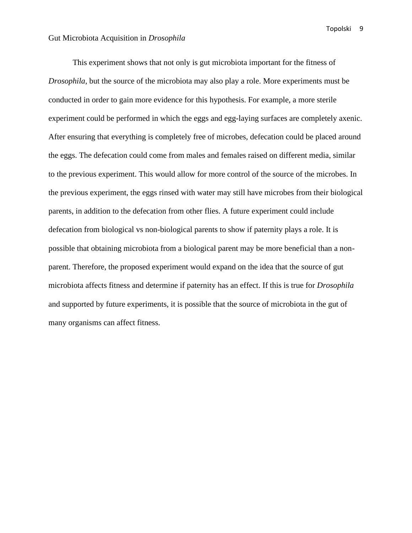This experiment shows that not only is gut microbiota important for the fitness of *Drosophila*, but the source of the microbiota may also play a role. More experiments must be conducted in order to gain more evidence for this hypothesis. For example, a more sterile experiment could be performed in which the eggs and egg-laying surfaces are completely axenic. After ensuring that everything is completely free of microbes, defecation could be placed around the eggs. The defecation could come from males and females raised on different media, similar to the previous experiment. This would allow for more control of the source of the microbes. In the previous experiment, the eggs rinsed with water may still have microbes from their biological parents, in addition to the defecation from other flies. A future experiment could include defecation from biological vs non-biological parents to show if paternity plays a role. It is possible that obtaining microbiota from a biological parent may be more beneficial than a nonparent. Therefore, the proposed experiment would expand on the idea that the source of gut microbiota affects fitness and determine if paternity has an effect. If this is true for *Drosophila* and supported by future experiments, it is possible that the source of microbiota in the gut of many organisms can affect fitness.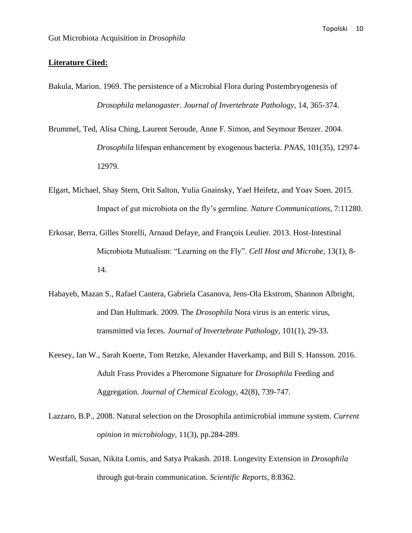## **Literature Cited:**

- Bakula, Marion. 1969. The persistence of a Microbial Flora during Postembryogenesis of *Drosophila melanogaster. Journal of Invertebrate Pathology,* 14, 365-374.
- Brummel, Ted, Alisa Ching, Laurent Seroude, Anne F. Simon, and Seymour Benzer. 2004. *Drosophila* lifespan enhancement by exogenous bacteria. *PNAS,* 101(35), 12974- 12979.
- Elgart, Michael, Shay Stern, Orit Salton, Yulia Gnainsky, Yael Heifetz, and Yoav Soen. 2015. Impact of gut microbiota on the fly's germline. *Nature Communications,* 7:11280.
- Erkosar, Berra, Gilles Storelli, Arnaud Defaye, and François Leulier. 2013. Host-Intestinal Microbiota Mutualism: "Learning on the Fly". *Cell Host and Microbe,* 13(1), 8- 14.
- Habayeb, Mazan S., Rafael Cantera, Gabriela Casanova, Jens-Ola Ekstrom, Shannon Albright, and Dan Hultmark. 2009. The *Drosophila* Nora virus is an enteric virus, transmitted via feces. *Journal of Invertebrate Pathology,* 101(1), 29-33.
- Keesey, Ian W., Sarah Koerte, Tom Retzke, Alexander Haverkamp, and Bill S. Hansson. 2016. Adult Frass Provides a Pheromone Signature for *Drosophila* Feeding and Aggregation. *Journal of Chemical Ecology,* 42(8), 739-747.
- Lazzaro, B.P., 2008. Natural selection on the Drosophila antimicrobial immune system. *Current opinion in microbiology,* 11(3), pp.284-289.
- Westfall, Susan, Nikita Lomis, and Satya Prakash. 2018. Longevity Extension in *Drosophila*  through gut-brain communication. *Scientific Reports,* 8:8362.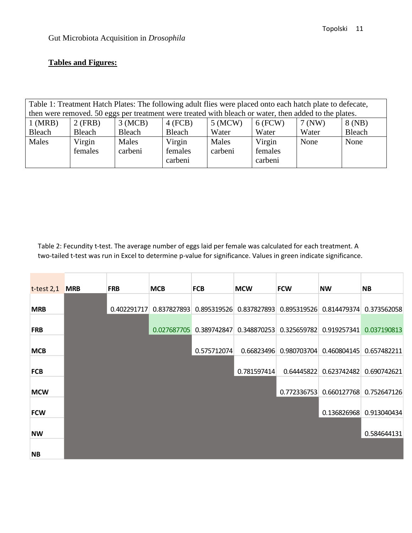# **Tables and Figures:**

| Table 1: Treatment Hatch Plates: The following adult flies were placed onto each hatch plate to defecate, |         |         |           |           |           |          |        |  |
|-----------------------------------------------------------------------------------------------------------|---------|---------|-----------|-----------|-----------|----------|--------|--|
| then were removed. 50 eggs per treatment were treated with bleach or water, then added to the plates.     |         |         |           |           |           |          |        |  |
| $1$ (MRB)                                                                                                 | 2 (FRB) | 3(MCB)  | $4$ (FCB) | $5$ (MCW) | $6$ (FCW) | $7$ (NW) | 8(NB)  |  |
| Bleach                                                                                                    | Bleach  | Bleach  | Bleach    | Water     | Water     | Water    | Bleach |  |
| Males                                                                                                     | Virgin  | Males   | Virgin    | Males     | Virgin    | None     | None   |  |
|                                                                                                           | females | carbeni | females   | carbeni   | females   |          |        |  |
|                                                                                                           |         |         | carbeni   |           | carbeni   |          |        |  |
|                                                                                                           |         |         |           |           |           |          |        |  |

Table 2: Fecundity t-test. The average number of eggs laid per female was calculated for each treatment. A two-tailed t-test was run in Excel to determine p-value for significance. Values in green indicate significance.

| $t-test 2,1$ MRB | <b>FRB</b>  | <b>MCB</b>  | <b>FCB</b>              | <b>MCW</b>  | <b>FCW</b>              | <b>NW</b>                                       | <b>NB</b>               |
|------------------|-------------|-------------|-------------------------|-------------|-------------------------|-------------------------------------------------|-------------------------|
|                  |             |             |                         |             |                         |                                                 |                         |
| <b>MRB</b>       | 0.402291717 |             | 0.837827893 0.895319526 |             |                         | 0.837827893 0.895319526 0.814479374 0.373562058 |                         |
|                  |             |             |                         |             |                         |                                                 |                         |
| <b>FRB</b>       |             | 0.027687705 | 0.389742847             |             | 0.348870253 0.325659782 |                                                 | 0.919257341 0.037190813 |
|                  |             |             |                         |             |                         |                                                 |                         |
| <b>MCB</b>       |             |             | 0.575712074             |             |                         | 0.66823496 0.980703704 0.460804145 0.657482211  |                         |
|                  |             |             |                         |             |                         |                                                 |                         |
| <b>FCB</b>       |             |             |                         | 0.781597414 | 0.64445822              |                                                 | 0.623742482 0.690742621 |
|                  |             |             |                         |             |                         |                                                 |                         |
| <b>MCW</b>       |             |             |                         |             | 0.772336753             |                                                 | 0.660127768 0.752647126 |
|                  |             |             |                         |             |                         |                                                 |                         |
| <b>FCW</b>       |             |             |                         |             |                         |                                                 | 0.136826968 0.913040434 |
|                  |             |             |                         |             |                         |                                                 |                         |
| <b>NW</b>        |             |             |                         |             |                         |                                                 | 0.584644131             |
|                  |             |             |                         |             |                         |                                                 |                         |
| <b>NB</b>        |             |             |                         |             |                         |                                                 |                         |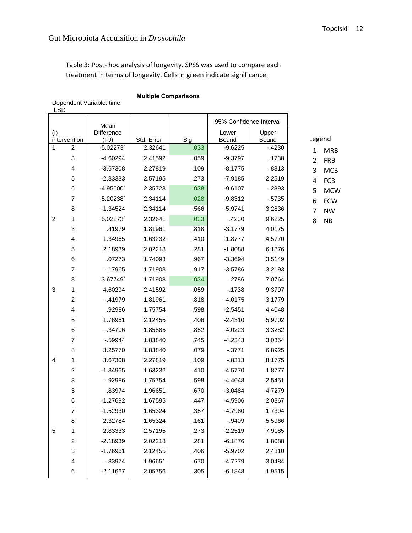Table 3: Post- hoc analysis of longevity. SPSS was used to compare each treatment in terms of longevity. Cells in green indicate significance.

## **Multiple Comparisons**

Dependent Variable: time LSD

| Difference<br>Lower<br>Upper<br>(1)<br>Legend<br>Std. Error<br>Sig.<br>Bound<br>Bound<br>intervention<br>$(I-J)$<br>$\mathbf{1}$<br>$\overline{2}$<br>.033<br>$-5.02273$ <sup>*</sup><br>2.32641<br>$-9.6225$<br>$-4230$<br><b>MRB</b><br>1<br>3<br>$-4.60294$<br>2.41592<br>.059<br>$-9.3797$<br>.1738<br>$\overline{2}$<br><b>FRB</b><br>4<br>.109<br>.8313<br>$-3.67308$<br>2.27819<br>$-8.1775$<br>3<br><b>MCB</b><br>5<br>$-2.83333$<br>2.57195<br>.273<br>$-7.9185$<br>2.2519<br>FCB<br>4<br>6<br>$-4.95000*$<br>.038<br>$-9.6107$<br>2.35723<br>$-2893$<br>5<br><b>MCW</b><br>$\overline{7}$<br>$-5.20238$<br>2.34114<br>.028<br>$-9.8312$<br>$-5735$<br>6<br><b>FCW</b><br>8<br>$-1.34524$<br>.566<br>2.34114<br>$-5.9741$<br>3.2836<br>7<br><b>NW</b><br>5.02273*<br>.033<br>$\overline{c}$<br>2.32641<br>.4230<br>9.6225<br>1<br>8<br><b>NB</b><br>3<br>.41979<br>1.81961<br>.818<br>$-3.1779$<br>4.0175<br>4<br>1.34965<br>1.63232<br>.410<br>$-1.8777$<br>4.5770<br>5<br>2.18939<br>.281<br>$-1.8088$<br>2.02218<br>6.1876<br>6<br>.07273<br>1.74093<br>.967<br>$-3.3694$<br>3.5149<br>$\overline{7}$<br>$-17965$<br>1.71908<br>.917<br>$-3.5786$<br>3.2193<br>8<br>3.67749*<br>1.71908<br>.034<br>.2786<br>7.0764<br>3<br>4.60294<br>.059<br>$-1738$<br>9.3797<br>1<br>2.41592<br>$\overline{\mathbf{c}}$<br>$-41979$<br>1.81961<br>.818<br>$-4.0175$<br>3.1779<br>4<br>.92986<br>1.75754<br>.598<br>4.4048<br>$-2.5451$<br>5<br>1.76961<br>2.12455<br>.406<br>$-2.4310$<br>5.9702<br>6<br>$-0.34706$<br>1.85885<br>.852<br>3.3282<br>$-4.0223$<br>7<br>$-0.59944$<br>1.83840<br>.745<br>$-4.2343$<br>3.0354<br>8<br>3.25770<br>1.83840<br>.079<br>$-3771$<br>6.8925<br>3.67308<br>2.27819<br>.109<br>$-0.8313$<br>8.1775<br>4<br>1<br>$\overline{c}$<br>$-1.34965$<br>.410<br>$-4.5770$<br>1.8777<br>1.63232<br>3<br>$-0.92986$<br>1.75754<br>.598<br>$-4.4048$<br>2.5451<br>5<br>.83974<br>1.96651<br>.670<br>$-3.0484$<br>4.7279<br>6<br>$-1.27692$<br>1.67595<br>.447<br>2.0367<br>$-4.5906$<br>$\overline{7}$<br>$-1.52930$<br>1.65324<br>.357<br>$-4.7980$<br>1.7394<br>1.65324<br>.161<br>$-0.9409$<br>5.5966<br>8<br>2.32784<br>2.83333<br>.273<br>$-2.2519$<br>7.9185<br>5<br>1<br>2.57195<br>$-2.18939$<br>.281<br>$-6.1876$<br>1.8088<br>$\overline{\mathbf{c}}$<br>2.02218<br>$-1.76961$<br>2.4310<br>3<br>2.12455<br>.406<br>$-5.9702$<br>$-0.83974$<br>1.96651<br>.670<br>3.0484<br>4<br>$-4.7279$<br>1.9515<br>$-2.11667$<br>2.05756<br>.305<br>$-6.1848$<br>6 |  | Mean |  | 95% Confidence Interval |  |  |
|--------------------------------------------------------------------------------------------------------------------------------------------------------------------------------------------------------------------------------------------------------------------------------------------------------------------------------------------------------------------------------------------------------------------------------------------------------------------------------------------------------------------------------------------------------------------------------------------------------------------------------------------------------------------------------------------------------------------------------------------------------------------------------------------------------------------------------------------------------------------------------------------------------------------------------------------------------------------------------------------------------------------------------------------------------------------------------------------------------------------------------------------------------------------------------------------------------------------------------------------------------------------------------------------------------------------------------------------------------------------------------------------------------------------------------------------------------------------------------------------------------------------------------------------------------------------------------------------------------------------------------------------------------------------------------------------------------------------------------------------------------------------------------------------------------------------------------------------------------------------------------------------------------------------------------------------------------------------------------------------------------------------------------------------------------------------------------------------------------------------------------------------------------------------------------------------------------------------------------------------------------------------------------------------------------------------------------------------------------------------------------------------------------------------------------------------------------------------------------------------|--|------|--|-------------------------|--|--|
|                                                                                                                                                                                                                                                                                                                                                                                                                                                                                                                                                                                                                                                                                                                                                                                                                                                                                                                                                                                                                                                                                                                                                                                                                                                                                                                                                                                                                                                                                                                                                                                                                                                                                                                                                                                                                                                                                                                                                                                                                                                                                                                                                                                                                                                                                                                                                                                                                                                                                            |  |      |  |                         |  |  |
|                                                                                                                                                                                                                                                                                                                                                                                                                                                                                                                                                                                                                                                                                                                                                                                                                                                                                                                                                                                                                                                                                                                                                                                                                                                                                                                                                                                                                                                                                                                                                                                                                                                                                                                                                                                                                                                                                                                                                                                                                                                                                                                                                                                                                                                                                                                                                                                                                                                                                            |  |      |  |                         |  |  |
|                                                                                                                                                                                                                                                                                                                                                                                                                                                                                                                                                                                                                                                                                                                                                                                                                                                                                                                                                                                                                                                                                                                                                                                                                                                                                                                                                                                                                                                                                                                                                                                                                                                                                                                                                                                                                                                                                                                                                                                                                                                                                                                                                                                                                                                                                                                                                                                                                                                                                            |  |      |  |                         |  |  |
|                                                                                                                                                                                                                                                                                                                                                                                                                                                                                                                                                                                                                                                                                                                                                                                                                                                                                                                                                                                                                                                                                                                                                                                                                                                                                                                                                                                                                                                                                                                                                                                                                                                                                                                                                                                                                                                                                                                                                                                                                                                                                                                                                                                                                                                                                                                                                                                                                                                                                            |  |      |  |                         |  |  |
|                                                                                                                                                                                                                                                                                                                                                                                                                                                                                                                                                                                                                                                                                                                                                                                                                                                                                                                                                                                                                                                                                                                                                                                                                                                                                                                                                                                                                                                                                                                                                                                                                                                                                                                                                                                                                                                                                                                                                                                                                                                                                                                                                                                                                                                                                                                                                                                                                                                                                            |  |      |  |                         |  |  |
|                                                                                                                                                                                                                                                                                                                                                                                                                                                                                                                                                                                                                                                                                                                                                                                                                                                                                                                                                                                                                                                                                                                                                                                                                                                                                                                                                                                                                                                                                                                                                                                                                                                                                                                                                                                                                                                                                                                                                                                                                                                                                                                                                                                                                                                                                                                                                                                                                                                                                            |  |      |  |                         |  |  |
|                                                                                                                                                                                                                                                                                                                                                                                                                                                                                                                                                                                                                                                                                                                                                                                                                                                                                                                                                                                                                                                                                                                                                                                                                                                                                                                                                                                                                                                                                                                                                                                                                                                                                                                                                                                                                                                                                                                                                                                                                                                                                                                                                                                                                                                                                                                                                                                                                                                                                            |  |      |  |                         |  |  |
|                                                                                                                                                                                                                                                                                                                                                                                                                                                                                                                                                                                                                                                                                                                                                                                                                                                                                                                                                                                                                                                                                                                                                                                                                                                                                                                                                                                                                                                                                                                                                                                                                                                                                                                                                                                                                                                                                                                                                                                                                                                                                                                                                                                                                                                                                                                                                                                                                                                                                            |  |      |  |                         |  |  |
|                                                                                                                                                                                                                                                                                                                                                                                                                                                                                                                                                                                                                                                                                                                                                                                                                                                                                                                                                                                                                                                                                                                                                                                                                                                                                                                                                                                                                                                                                                                                                                                                                                                                                                                                                                                                                                                                                                                                                                                                                                                                                                                                                                                                                                                                                                                                                                                                                                                                                            |  |      |  |                         |  |  |
|                                                                                                                                                                                                                                                                                                                                                                                                                                                                                                                                                                                                                                                                                                                                                                                                                                                                                                                                                                                                                                                                                                                                                                                                                                                                                                                                                                                                                                                                                                                                                                                                                                                                                                                                                                                                                                                                                                                                                                                                                                                                                                                                                                                                                                                                                                                                                                                                                                                                                            |  |      |  |                         |  |  |
|                                                                                                                                                                                                                                                                                                                                                                                                                                                                                                                                                                                                                                                                                                                                                                                                                                                                                                                                                                                                                                                                                                                                                                                                                                                                                                                                                                                                                                                                                                                                                                                                                                                                                                                                                                                                                                                                                                                                                                                                                                                                                                                                                                                                                                                                                                                                                                                                                                                                                            |  |      |  |                         |  |  |
|                                                                                                                                                                                                                                                                                                                                                                                                                                                                                                                                                                                                                                                                                                                                                                                                                                                                                                                                                                                                                                                                                                                                                                                                                                                                                                                                                                                                                                                                                                                                                                                                                                                                                                                                                                                                                                                                                                                                                                                                                                                                                                                                                                                                                                                                                                                                                                                                                                                                                            |  |      |  |                         |  |  |
|                                                                                                                                                                                                                                                                                                                                                                                                                                                                                                                                                                                                                                                                                                                                                                                                                                                                                                                                                                                                                                                                                                                                                                                                                                                                                                                                                                                                                                                                                                                                                                                                                                                                                                                                                                                                                                                                                                                                                                                                                                                                                                                                                                                                                                                                                                                                                                                                                                                                                            |  |      |  |                         |  |  |
|                                                                                                                                                                                                                                                                                                                                                                                                                                                                                                                                                                                                                                                                                                                                                                                                                                                                                                                                                                                                                                                                                                                                                                                                                                                                                                                                                                                                                                                                                                                                                                                                                                                                                                                                                                                                                                                                                                                                                                                                                                                                                                                                                                                                                                                                                                                                                                                                                                                                                            |  |      |  |                         |  |  |
|                                                                                                                                                                                                                                                                                                                                                                                                                                                                                                                                                                                                                                                                                                                                                                                                                                                                                                                                                                                                                                                                                                                                                                                                                                                                                                                                                                                                                                                                                                                                                                                                                                                                                                                                                                                                                                                                                                                                                                                                                                                                                                                                                                                                                                                                                                                                                                                                                                                                                            |  |      |  |                         |  |  |
|                                                                                                                                                                                                                                                                                                                                                                                                                                                                                                                                                                                                                                                                                                                                                                                                                                                                                                                                                                                                                                                                                                                                                                                                                                                                                                                                                                                                                                                                                                                                                                                                                                                                                                                                                                                                                                                                                                                                                                                                                                                                                                                                                                                                                                                                                                                                                                                                                                                                                            |  |      |  |                         |  |  |
|                                                                                                                                                                                                                                                                                                                                                                                                                                                                                                                                                                                                                                                                                                                                                                                                                                                                                                                                                                                                                                                                                                                                                                                                                                                                                                                                                                                                                                                                                                                                                                                                                                                                                                                                                                                                                                                                                                                                                                                                                                                                                                                                                                                                                                                                                                                                                                                                                                                                                            |  |      |  |                         |  |  |
|                                                                                                                                                                                                                                                                                                                                                                                                                                                                                                                                                                                                                                                                                                                                                                                                                                                                                                                                                                                                                                                                                                                                                                                                                                                                                                                                                                                                                                                                                                                                                                                                                                                                                                                                                                                                                                                                                                                                                                                                                                                                                                                                                                                                                                                                                                                                                                                                                                                                                            |  |      |  |                         |  |  |
|                                                                                                                                                                                                                                                                                                                                                                                                                                                                                                                                                                                                                                                                                                                                                                                                                                                                                                                                                                                                                                                                                                                                                                                                                                                                                                                                                                                                                                                                                                                                                                                                                                                                                                                                                                                                                                                                                                                                                                                                                                                                                                                                                                                                                                                                                                                                                                                                                                                                                            |  |      |  |                         |  |  |
|                                                                                                                                                                                                                                                                                                                                                                                                                                                                                                                                                                                                                                                                                                                                                                                                                                                                                                                                                                                                                                                                                                                                                                                                                                                                                                                                                                                                                                                                                                                                                                                                                                                                                                                                                                                                                                                                                                                                                                                                                                                                                                                                                                                                                                                                                                                                                                                                                                                                                            |  |      |  |                         |  |  |
|                                                                                                                                                                                                                                                                                                                                                                                                                                                                                                                                                                                                                                                                                                                                                                                                                                                                                                                                                                                                                                                                                                                                                                                                                                                                                                                                                                                                                                                                                                                                                                                                                                                                                                                                                                                                                                                                                                                                                                                                                                                                                                                                                                                                                                                                                                                                                                                                                                                                                            |  |      |  |                         |  |  |
|                                                                                                                                                                                                                                                                                                                                                                                                                                                                                                                                                                                                                                                                                                                                                                                                                                                                                                                                                                                                                                                                                                                                                                                                                                                                                                                                                                                                                                                                                                                                                                                                                                                                                                                                                                                                                                                                                                                                                                                                                                                                                                                                                                                                                                                                                                                                                                                                                                                                                            |  |      |  |                         |  |  |
|                                                                                                                                                                                                                                                                                                                                                                                                                                                                                                                                                                                                                                                                                                                                                                                                                                                                                                                                                                                                                                                                                                                                                                                                                                                                                                                                                                                                                                                                                                                                                                                                                                                                                                                                                                                                                                                                                                                                                                                                                                                                                                                                                                                                                                                                                                                                                                                                                                                                                            |  |      |  |                         |  |  |
|                                                                                                                                                                                                                                                                                                                                                                                                                                                                                                                                                                                                                                                                                                                                                                                                                                                                                                                                                                                                                                                                                                                                                                                                                                                                                                                                                                                                                                                                                                                                                                                                                                                                                                                                                                                                                                                                                                                                                                                                                                                                                                                                                                                                                                                                                                                                                                                                                                                                                            |  |      |  |                         |  |  |
|                                                                                                                                                                                                                                                                                                                                                                                                                                                                                                                                                                                                                                                                                                                                                                                                                                                                                                                                                                                                                                                                                                                                                                                                                                                                                                                                                                                                                                                                                                                                                                                                                                                                                                                                                                                                                                                                                                                                                                                                                                                                                                                                                                                                                                                                                                                                                                                                                                                                                            |  |      |  |                         |  |  |
|                                                                                                                                                                                                                                                                                                                                                                                                                                                                                                                                                                                                                                                                                                                                                                                                                                                                                                                                                                                                                                                                                                                                                                                                                                                                                                                                                                                                                                                                                                                                                                                                                                                                                                                                                                                                                                                                                                                                                                                                                                                                                                                                                                                                                                                                                                                                                                                                                                                                                            |  |      |  |                         |  |  |
|                                                                                                                                                                                                                                                                                                                                                                                                                                                                                                                                                                                                                                                                                                                                                                                                                                                                                                                                                                                                                                                                                                                                                                                                                                                                                                                                                                                                                                                                                                                                                                                                                                                                                                                                                                                                                                                                                                                                                                                                                                                                                                                                                                                                                                                                                                                                                                                                                                                                                            |  |      |  |                         |  |  |
|                                                                                                                                                                                                                                                                                                                                                                                                                                                                                                                                                                                                                                                                                                                                                                                                                                                                                                                                                                                                                                                                                                                                                                                                                                                                                                                                                                                                                                                                                                                                                                                                                                                                                                                                                                                                                                                                                                                                                                                                                                                                                                                                                                                                                                                                                                                                                                                                                                                                                            |  |      |  |                         |  |  |
|                                                                                                                                                                                                                                                                                                                                                                                                                                                                                                                                                                                                                                                                                                                                                                                                                                                                                                                                                                                                                                                                                                                                                                                                                                                                                                                                                                                                                                                                                                                                                                                                                                                                                                                                                                                                                                                                                                                                                                                                                                                                                                                                                                                                                                                                                                                                                                                                                                                                                            |  |      |  |                         |  |  |
|                                                                                                                                                                                                                                                                                                                                                                                                                                                                                                                                                                                                                                                                                                                                                                                                                                                                                                                                                                                                                                                                                                                                                                                                                                                                                                                                                                                                                                                                                                                                                                                                                                                                                                                                                                                                                                                                                                                                                                                                                                                                                                                                                                                                                                                                                                                                                                                                                                                                                            |  |      |  |                         |  |  |
|                                                                                                                                                                                                                                                                                                                                                                                                                                                                                                                                                                                                                                                                                                                                                                                                                                                                                                                                                                                                                                                                                                                                                                                                                                                                                                                                                                                                                                                                                                                                                                                                                                                                                                                                                                                                                                                                                                                                                                                                                                                                                                                                                                                                                                                                                                                                                                                                                                                                                            |  |      |  |                         |  |  |
|                                                                                                                                                                                                                                                                                                                                                                                                                                                                                                                                                                                                                                                                                                                                                                                                                                                                                                                                                                                                                                                                                                                                                                                                                                                                                                                                                                                                                                                                                                                                                                                                                                                                                                                                                                                                                                                                                                                                                                                                                                                                                                                                                                                                                                                                                                                                                                                                                                                                                            |  |      |  |                         |  |  |
|                                                                                                                                                                                                                                                                                                                                                                                                                                                                                                                                                                                                                                                                                                                                                                                                                                                                                                                                                                                                                                                                                                                                                                                                                                                                                                                                                                                                                                                                                                                                                                                                                                                                                                                                                                                                                                                                                                                                                                                                                                                                                                                                                                                                                                                                                                                                                                                                                                                                                            |  |      |  |                         |  |  |
|                                                                                                                                                                                                                                                                                                                                                                                                                                                                                                                                                                                                                                                                                                                                                                                                                                                                                                                                                                                                                                                                                                                                                                                                                                                                                                                                                                                                                                                                                                                                                                                                                                                                                                                                                                                                                                                                                                                                                                                                                                                                                                                                                                                                                                                                                                                                                                                                                                                                                            |  |      |  |                         |  |  |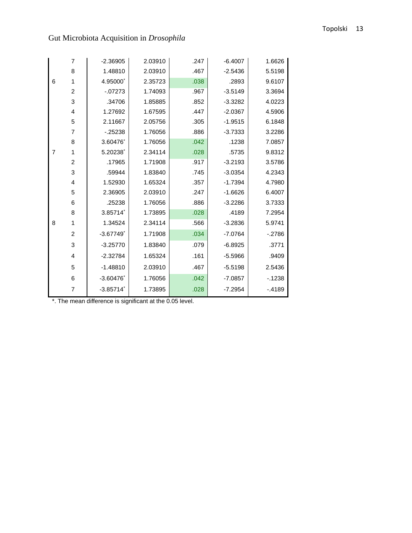# Topolski 13

|   | $\overline{7}$   | $-2.36905$              | 2.03910 | .247 | $-6.4007$ | 1.6626  |
|---|------------------|-------------------------|---------|------|-----------|---------|
|   | 8                | 1.48810                 | 2.03910 | .467 | $-2.5436$ | 5.5198  |
| 6 | 1                | 4.95000                 | 2.35723 | .038 | .2893     | 9.6107  |
|   | $\overline{c}$   | $-07273$                | 1.74093 | .967 | $-3.5149$ | 3.3694  |
|   | 3                | .34706                  | 1.85885 | .852 | $-3.3282$ | 4.0223  |
|   | $\overline{4}$   | 1.27692                 | 1.67595 | .447 | $-2.0367$ | 4.5906  |
|   | 5                | 2.11667                 | 2.05756 | .305 | $-1.9515$ | 6.1848  |
|   | $\overline{7}$   | $-25238$                | 1.76056 | .886 | $-3.7333$ | 3.2286  |
|   | 8                | 3.60476                 | 1.76056 | .042 | .1238     | 7.0857  |
| 7 | 1                | 5.20238                 | 2.34114 | .028 | .5735     | 9.8312  |
|   | $\boldsymbol{2}$ | .17965                  | 1.71908 | .917 | $-3.2193$ | 3.5786  |
|   | 3                | .59944                  | 1.83840 | .745 | $-3.0354$ | 4.2343  |
|   | $\overline{4}$   | 1.52930                 | 1.65324 | .357 | $-1.7394$ | 4.7980  |
|   | 5                | 2.36905                 | 2.03910 | .247 | $-1.6626$ | 6.4007  |
|   | 6                | .25238                  | 1.76056 | .886 | $-3.2286$ | 3.7333  |
|   | 8                | 3.85714                 | 1.73895 | .028 | .4189     | 7.2954  |
| 8 | 1                | 1.34524                 | 2.34114 | .566 | $-3.2836$ | 5.9741  |
|   | $\overline{c}$   | $-3.67749$ <sup>*</sup> | 1.71908 | .034 | $-7.0764$ | $-2786$ |
|   | 3                | $-3.25770$              | 1.83840 | .079 | $-6.8925$ | .3771   |
|   | 4                | $-2.32784$              | 1.65324 | .161 | $-5.5966$ | .9409   |
|   | 5                | $-1.48810$              | 2.03910 | .467 | $-5.5198$ | 2.5436  |
|   | 6                | $-3.60476$              | 1.76056 | .042 | $-7.0857$ | $-1238$ |
|   | 7                | $-3.85714$ <sup>*</sup> | 1.73895 | .028 | $-7.2954$ | $-4189$ |

\*. The mean difference is significant at the 0.05 level.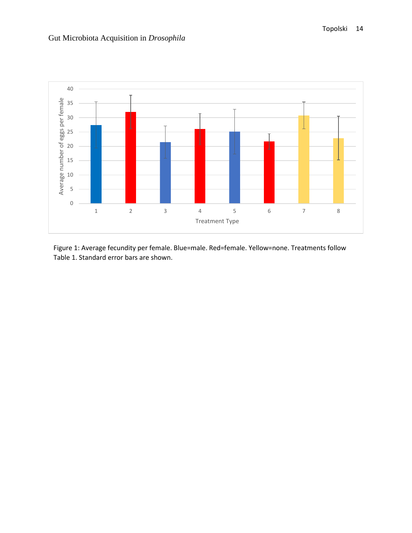



Figure 1: Average fecundity per female. Blue=male. Red=female. Yellow=none. Treatments follow Table 1. Standard error bars are shown.